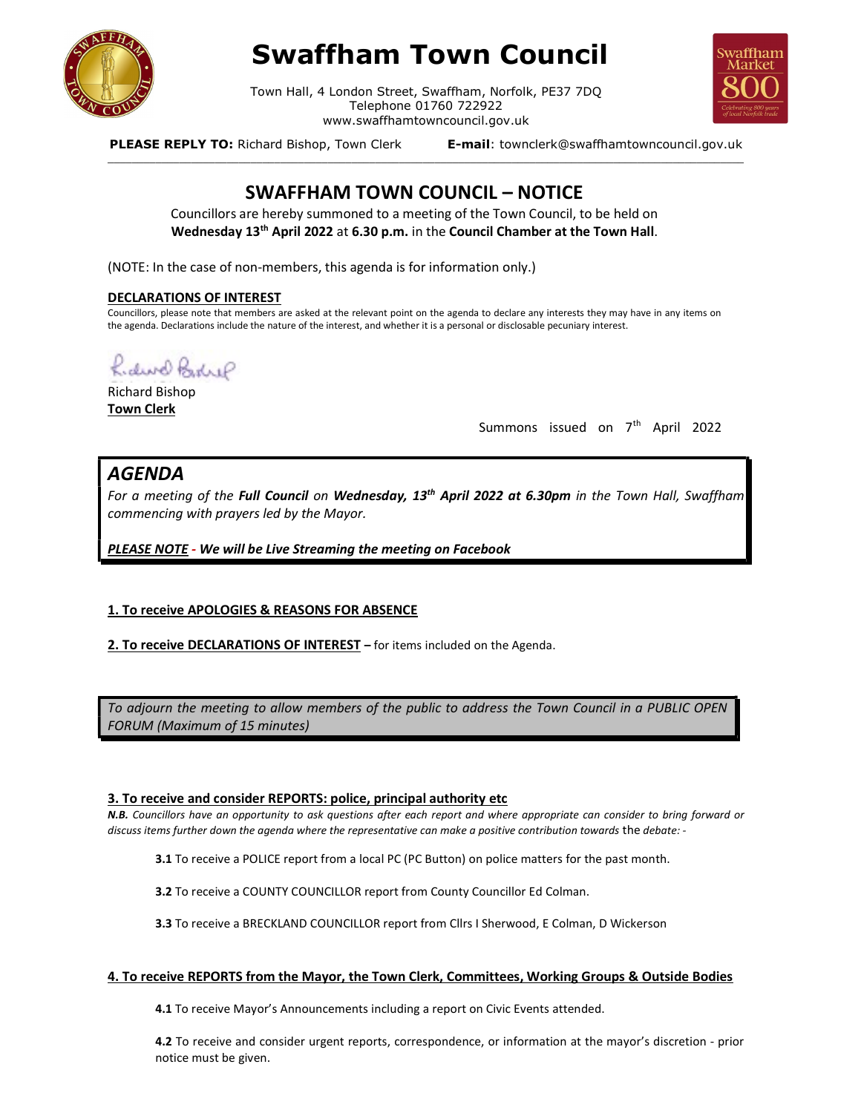

# Swaffham Town Council

Town Hall, 4 London Street, Swaffham, Norfolk, PE37 7DQ Telephone 01760 722922 www.swaffhamtowncouncil.gov.uk<br>p, Town Clerk **E-mail**: townclerk@swaffhamtowncouncil.gov.uk

\_\_\_\_\_\_\_\_\_\_\_\_\_\_\_\_\_\_\_\_\_\_\_\_\_\_\_\_\_\_\_\_\_\_\_\_\_\_\_\_\_\_\_\_\_\_\_\_\_\_\_\_\_\_\_\_\_\_\_\_\_\_\_\_\_\_\_\_\_\_\_\_\_\_\_\_\_\_\_\_\_\_\_\_\_\_\_\_\_\_\_\_\_\_\_\_\_\_\_\_\_\_\_\_\_\_\_



PLEASE REPLY TO: Richard Bishop, Town Clerk

# SWAFFHAM TOWN COUNCIL – NOTICE

Councillors are hereby summoned to a meeting of the Town Council, to be held on Wednesday 13<sup>th</sup> April 2022 at 6.30 p.m. in the Council Chamber at the Town Hall.

(NOTE: In the case of non-members, this agenda is for information only.)

#### DECLARATIONS OF INTEREST

Councillors, please note that members are asked at the relevant point on the agenda to declare any interests they may have in any items on the agenda. Declarations include the nature of the interest, and whether it is a personal or disclosable pecuniary interest.

hidwel Bodre

Richard Bishop Town Clerk

Summons issued on  $7<sup>th</sup>$  April 2022

# AGENDA

For a meeting of the Full Council on Wednesday, 13<sup>th</sup> April 2022 at 6.30pm in the Town Hall, Swaffham commencing with prayers led by the Mayor.

PLEASE NOTE - We will be Live Streaming the meeting on Facebook

## 1. To receive APOLOGIES & REASONS FOR ABSENCE

2. To receive DECLARATIONS OF INTEREST - for items included on the Agenda.

To adjourn the meeting to allow members of the public to address the Town Council in a PUBLIC OPEN FORUM (Maximum of 15 minutes)

## 3. To receive and consider REPORTS: police, principal authority etc

N.B. Councillors have an opportunity to ask questions after each report and where appropriate can consider to bring forward or discuss items further down the agenda where the representative can make a positive contribution towards the debate: -

3.1 To receive a POLICE report from a local PC (PC Button) on police matters for the past month.

3.2 To receive a COUNTY COUNCILLOR report from County Councillor Ed Colman.

3.3 To receive a BRECKLAND COUNCILLOR report from Cllrs I Sherwood, E Colman, D Wickerson

#### 4. To receive REPORTS from the Mayor, the Town Clerk, Committees, Working Groups & Outside Bodies

4.1 To receive Mayor's Announcements including a report on Civic Events attended.

4.2 To receive and consider urgent reports, correspondence, or information at the mayor's discretion - prior notice must be given.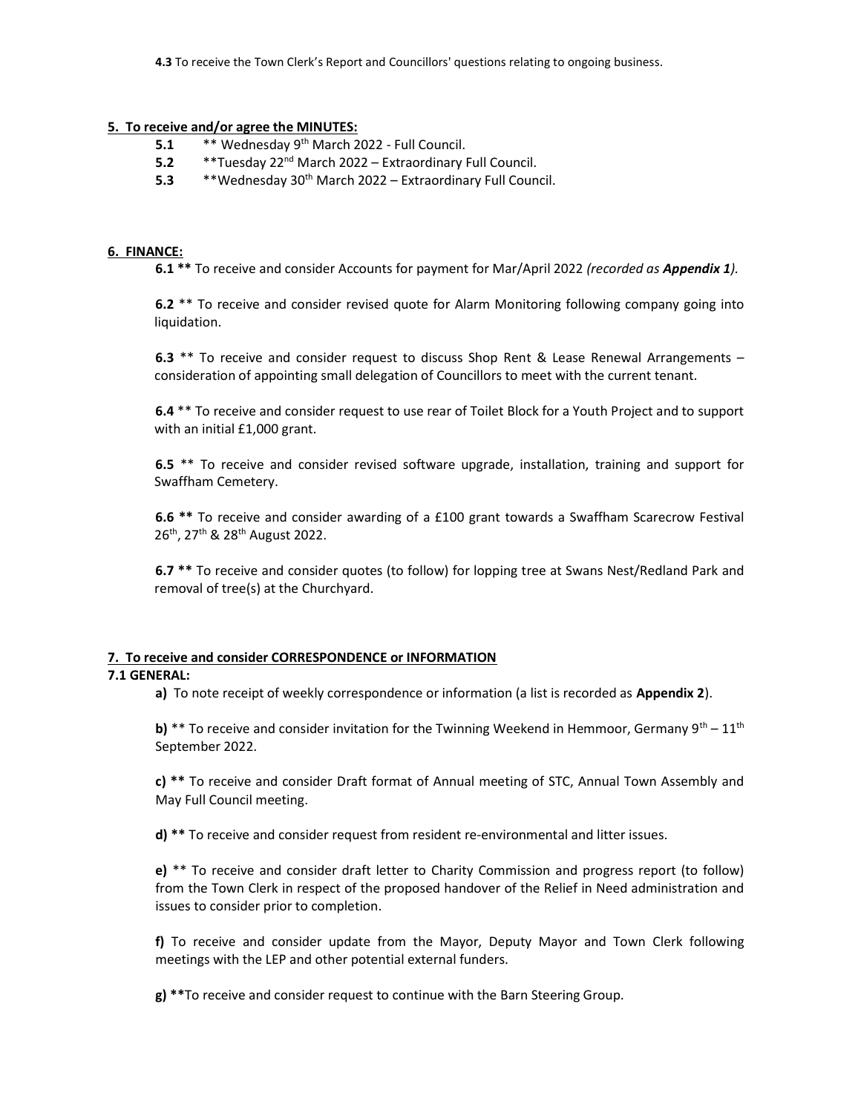# 5. To receive and/or agree the MINUTES:

- 5.1  $***$  Wednesday 9<sup>th</sup> March 2022 Full Council.
- 5.2  $*$ \*Tuesday 22<sup>nd</sup> March 2022 Extraordinary Full Council.
- 5.3  $*$  \*Wednesday 30<sup>th</sup> March 2022 Extraordinary Full Council.

#### 6. FINANCE:

6.1 \*\* To receive and consider Accounts for payment for Mar/April 2022 (recorded as Appendix 1).

6.2<sup>\*\*</sup> To receive and consider revised quote for Alarm Monitoring following company going into liquidation.

6.3 \*\* To receive and consider request to discuss Shop Rent & Lease Renewal Arrangements – consideration of appointing small delegation of Councillors to meet with the current tenant.

6.4 \*\* To receive and consider request to use rear of Toilet Block for a Youth Project and to support with an initial £1,000 grant.

6.5 \*\* To receive and consider revised software upgrade, installation, training and support for Swaffham Cemetery.

6.6 \*\* To receive and consider awarding of a £100 grant towards a Swaffham Scarecrow Festival 26<sup>th</sup>, 27<sup>th</sup> & 28<sup>th</sup> August 2022.

6.7 \*\* To receive and consider quotes (to follow) for lopping tree at Swans Nest/Redland Park and removal of tree(s) at the Churchyard.

## 7. To receive and consider CORRESPONDENCE or INFORMATION

#### 7.1 GENERAL:

a) To note receipt of weekly correspondence or information (a list is recorded as Appendix 2).

b) \*\* To receive and consider invitation for the Twinning Weekend in Hemmoor, Germany 9<sup>th</sup> – 11<sup>th</sup> September 2022.

c) \*\* To receive and consider Draft format of Annual meeting of STC, Annual Town Assembly and May Full Council meeting.

d) \*\* To receive and consider request from resident re-environmental and litter issues.

e) \*\* To receive and consider draft letter to Charity Commission and progress report (to follow) from the Town Clerk in respect of the proposed handover of the Relief in Need administration and issues to consider prior to completion.

f) To receive and consider update from the Mayor, Deputy Mayor and Town Clerk following meetings with the LEP and other potential external funders.

 $g$ ) \*\*To receive and consider request to continue with the Barn Steering Group.